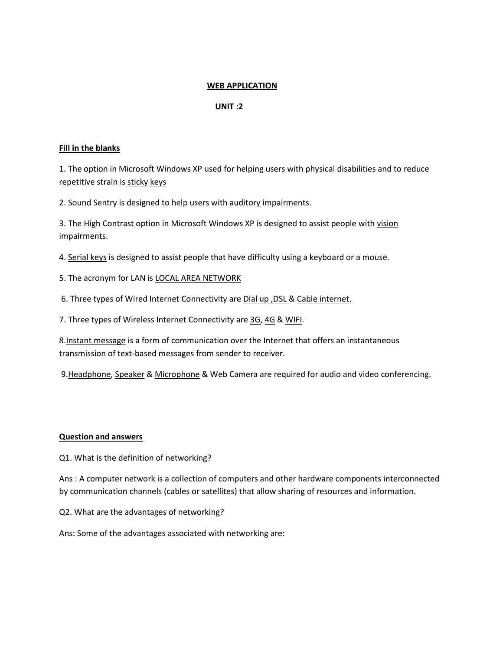# **WEB APPLICATION**

# **UNIT :2**

## **Fill in the blanks**

1. The option in Microsoft Windows XP used for helping users with physical disabilities and to reduce repetitive strain is sticky keys

2. Sound Sentry is designed to help users with auditory impairments.

3. The High Contrast option in Microsoft Windows XP is designed to assist people with vision impairments.

4. Serial keys is designed to assist people that have difficulty using a keyboard or a mouse.

5. The acronym for LAN is LOCAL AREA NETWORK

6. Three types of Wired Internet Connectivity are Dial up ,DSL & Cable internet.

7. Three types of Wireless Internet Connectivity are 3G, 4G & WIFI.

8.Instant message is a form of communication over the Internet that offers an instantaneous transmission of text-based messages from sender to receiver.

9. Headphone, Speaker & Microphone & Web Camera are required for audio and video conferencing.

# **Question and answers**

Q1. What is the definition of networking?

Ans : A computer network is a collection of computers and other hardware components interconnected by communication channels (cables or satellites) that allow sharing of resources and information.

Q2. What are the advantages of networking?

Ans: Some of the advantages associated with networking are: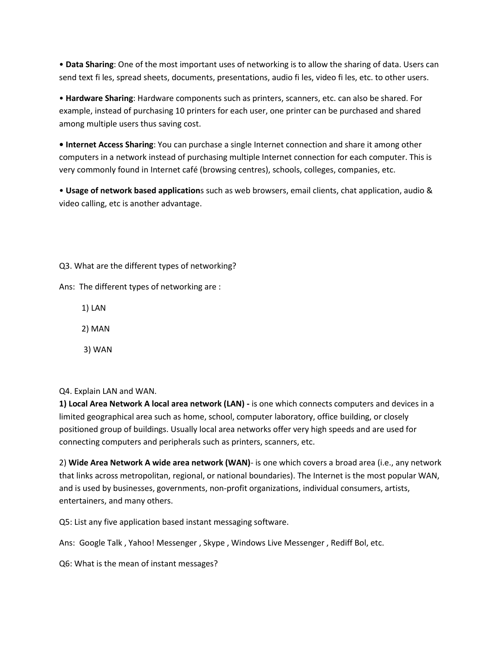• **Data Sharing**: One of the most important uses of networking is to allow the sharing of data. Users can send text fi les, spread sheets, documents, presentations, audio fi les, video fi les, etc. to other users.

• **Hardware Sharing**: Hardware components such as printers, scanners, etc. can also be shared. For example, instead of purchasing 10 printers for each user, one printer can be purchased and shared among multiple users thus saving cost.

**• Internet Access Sharing**: You can purchase a single Internet connection and share it among other computers in a network instead of purchasing multiple Internet connection for each computer. This is very commonly found in Internet café (browsing centres), schools, colleges, companies, etc.

• **Usage of network based application**s such as web browsers, email clients, chat application, audio & video calling, etc is another advantage.

Q3. What are the different types of networking?

Ans: The different types of networking are :

1) LAN

2) MAN

3) WAN

# Q4. Explain LAN and WAN.

**1) Local Area Network A local area network (LAN) -** is one which connects computers and devices in a limited geographical area such as home, school, computer laboratory, office building, or closely positioned group of buildings. Usually local area networks offer very high speeds and are used for connecting computers and peripherals such as printers, scanners, etc.

2) **Wide Area Network A wide area network (WAN)**- is one which covers a broad area (i.e., any network that links across metropolitan, regional, or national boundaries). The Internet is the most popular WAN, and is used by businesses, governments, non-profit organizations, individual consumers, artists, entertainers, and many others.

Q5: List any five application based instant messaging software.

Ans: Google Talk , Yahoo! Messenger , Skype , Windows Live Messenger , Rediff Bol, etc.

Q6: What is the mean of instant messages?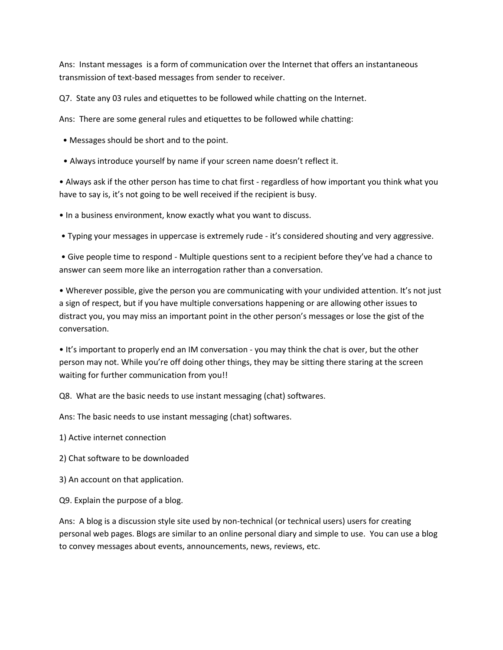Ans: Instant messages is a form of communication over the Internet that offers an instantaneous transmission of text-based messages from sender to receiver.

Q7. State any 03 rules and etiquettes to be followed while chatting on the Internet.

Ans: There are some general rules and etiquettes to be followed while chatting:

- Messages should be short and to the point.
- Always introduce yourself by name if your screen name doesn't reflect it.

• Always ask if the other person has time to chat first - regardless of how important you think what you have to say is, it's not going to be well received if the recipient is busy.

• In a business environment, know exactly what you want to discuss.

• Typing your messages in uppercase is extremely rude - it's considered shouting and very aggressive.

• Give people time to respond - Multiple questions sent to a recipient before they've had a chance to answer can seem more like an interrogation rather than a conversation.

• Wherever possible, give the person you are communicating with your undivided attention. It's not just a sign of respect, but if you have multiple conversations happening or are allowing other issues to distract you, you may miss an important point in the other person's messages or lose the gist of the conversation.

• It's important to properly end an IM conversation - you may think the chat is over, but the other person may not. While you're off doing other things, they may be sitting there staring at the screen waiting for further communication from you!!

Q8. What are the basic needs to use instant messaging (chat) softwares.

Ans: The basic needs to use instant messaging (chat) softwares.

- 1) Active internet connection
- 2) Chat software to be downloaded
- 3) An account on that application.
- Q9. Explain the purpose of a blog.

Ans: A blog is a discussion style site used by non-technical (or technical users) users for creating personal web pages. Blogs are similar to an online personal diary and simple to use. You can use a blog to convey messages about events, announcements, news, reviews, etc.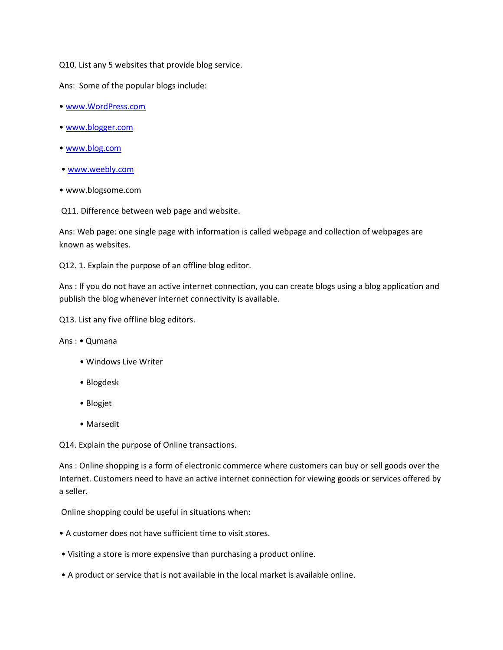Q10. List any 5 websites that provide blog service.

Ans: Some of the popular blogs include:

- [www.WordPress.com](http://www.wordpress.com/)
- [www.blogger.com](http://www.blogger.com/)
- [www.blog.com](http://www.blog.com/)
- [www.weebly.com](http://www.weebly.com/)
- www.blogsome.com

Q11. Difference between web page and website.

Ans: Web page: one single page with information is called webpage and collection of webpages are known as websites.

Q12. 1. Explain the purpose of an offline blog editor.

Ans : If you do not have an active internet connection, you can create blogs using a blog application and publish the blog whenever internet connectivity is available.

Q13. List any five offline blog editors.

Ans : • Qumana

- Windows Live Writer
- Blogdesk
- Blogjet
- Marsedit

Q14. Explain the purpose of Online transactions.

Ans : Online shopping is a form of electronic commerce where customers can buy or sell goods over the Internet. Customers need to have an active internet connection for viewing goods or services offered by a seller.

Online shopping could be useful in situations when:

- A customer does not have sufficient time to visit stores.
- Visiting a store is more expensive than purchasing a product online.
- A product or service that is not available in the local market is available online.